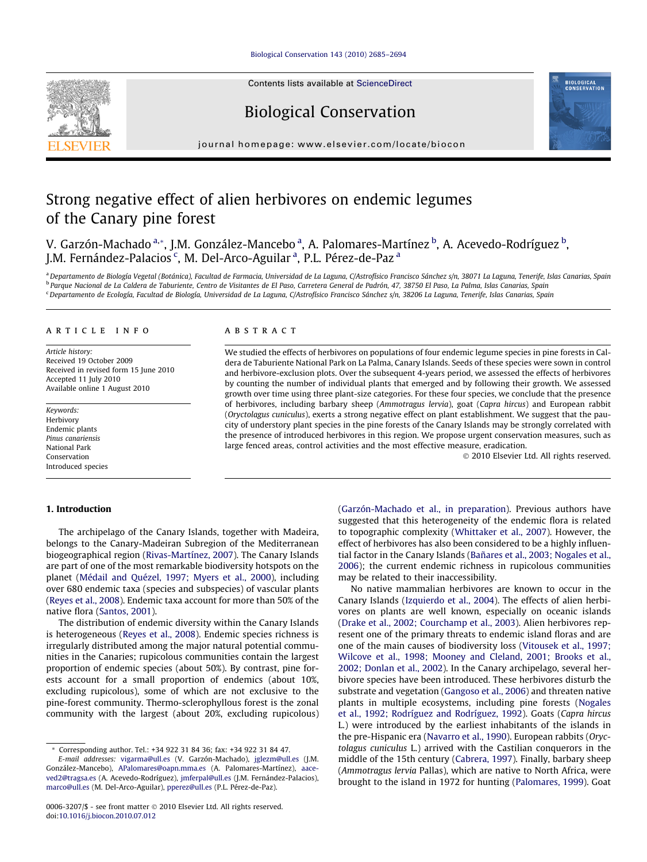### [Biological Conservation 143 \(2010\) 2685–2694](http://dx.doi.org/10.1016/j.biocon.2010.07.012)



## Biological Conservation

journal homepage: [www.elsevier.com/locate/biocon](http://www.elsevier.com/locate/biocon)

# Strong negative effect of alien herbivores on endemic legumes of the Canary pine forest

V. Garzón-Machado <sup>a,</sup>\*, J.M. González-Mancebo <sup>a</sup>, A. Palomares-Martínez <sup>b</sup>, A. Acevedo-Rodríguez <sup>b</sup>, J.M. Fernández-Palacios <sup>c</sup>, M. Del-Arco-Aguilar <sup>a</sup>, P.L. Pérez-de-Paz <sup>a</sup>

<sup>a</sup> Departamento de Biología Vegetal (Botánica), Facultad de Farmacia, Universidad de La Laguna, C/Astrofísico Francisco Sánchez s/n, 38071 La Laguna, Tenerife, Islas Canarias, Spain <sup>b</sup> Parque Nacional de La Caldera de Taburiente, Centro de Visitantes de El Paso, Carretera General de Padrón, 47, 38750 El Paso, La Palma, Islas Canarias, Spain <sup>c</sup> Departamento de Ecología, Facultad de Biología, Universidad de La Laguna, C/Astrofísico Francisco Sánchez s/n, 38206 La Laguna, Tenerife, Islas Canarias, Spain

### article info

Article history: Received 19 October 2009 Received in revised form 15 June 2010 Accepted 11 July 2010 Available online 1 August 2010

Keywords: Herbivory Endemic plants Pinus canariensis National Park Conservation Introduced species

#### 1. Introduction

## The archipelago of the Canary Islands, together with Madeira, belongs to the Canary-Madeiran Subregion of the Mediterranean biogeographical region [\(Rivas-Martínez, 2007\)](#page-8-0). The Canary Islands are part of one of the most remarkable biodiversity hotspots on the planet [\(Médail and Quézel, 1997; Myers et al., 2000\)](#page-8-0), including over 680 endemic taxa (species and subspecies) of vascular plants ([Reyes et al., 2008](#page-8-0)). Endemic taxa account for more than 50% of the native flora ([Santos, 2001\)](#page-9-0).

The distribution of endemic diversity within the Canary Islands is heterogeneous ([Reyes et al., 2008](#page-8-0)). Endemic species richness is irregularly distributed among the major natural potential communities in the Canaries; rupicolous communities contain the largest proportion of endemic species (about 50%). By contrast, pine forests account for a small proportion of endemics (about 10%, excluding rupicolous), some of which are not exclusive to the pine-forest community. Thermo-sclerophyllous forest is the zonal community with the largest (about 20%, excluding rupicolous)

## ABSTRACT

We studied the effects of herbivores on populations of four endemic legume species in pine forests in Caldera de Taburiente National Park on La Palma, Canary Islands. Seeds of these species were sown in control and herbivore-exclusion plots. Over the subsequent 4-years period, we assessed the effects of herbivores by counting the number of individual plants that emerged and by following their growth. We assessed growth over time using three plant-size categories. For these four species, we conclude that the presence of herbivores, including barbary sheep (Ammotragus lervia), goat (Capra hircus) and European rabbit (Oryctolagus cuniculus), exerts a strong negative effect on plant establishment. We suggest that the paucity of understory plant species in the pine forests of the Canary Islands may be strongly correlated with the presence of introduced herbivores in this region. We propose urgent conservation measures, such as large fenced areas, control activities and the most effective measure, eradication.

- 2010 Elsevier Ltd. All rights reserved.

([Garzón-Machado et al., in preparation\)](#page-8-0). Previous authors have suggested that this heterogeneity of the endemic flora is related to topographic complexity ([Whittaker et al., 2007](#page-9-0)). However, the effect of herbivores has also been considered to be a highly influential factor in the Canary Islands [\(Bañares et al., 2003; Nogales et al.,](#page-8-0) [2006](#page-8-0)); the current endemic richness in rupicolous communities may be related to their inaccessibility.

No native mammalian herbivores are known to occur in the Canary Islands [\(Izquierdo et al., 2004](#page-8-0)). The effects of alien herbivores on plants are well known, especially on oceanic islands ([Drake et al., 2002; Courchamp et al., 2003\)](#page-8-0). Alien herbivores represent one of the primary threats to endemic island floras and are one of the main causes of biodiversity loss [\(Vitousek et al., 1997;](#page-9-0) [Wilcove et al., 1998; Mooney and Cleland, 2001; Brooks et al.,](#page-9-0) [2002; Donlan et al., 2002\)](#page-9-0). In the Canary archipelago, several herbivore species have been introduced. These herbivores disturb the substrate and vegetation [\(Gangoso et al., 2006](#page-8-0)) and threaten native plants in multiple ecosystems, including pine forests ([Nogales](#page-8-0) [et al., 1992; Rodríguez and Rodríguez, 1992\)](#page-8-0). Goats (Capra hircus L.) were introduced by the earliest inhabitants of the islands in the pre-Hispanic era [\(Navarro et al., 1990](#page-8-0)). European rabbits (Oryctolagus cuniculus L.) arrived with the Castilian conquerors in the middle of the 15th century [\(Cabrera, 1997\)](#page-8-0). Finally, barbary sheep (Ammotragus lervia Pallas), which are native to North Africa, were brought to the island in 1972 for hunting ([Palomares, 1999](#page-8-0)). Goat





<sup>\*</sup> Corresponding author. Tel.: +34 922 31 84 36; fax: +34 922 31 84 47.

E-mail addresses: [vigarma@ull.es](mailto:vigarma@ull.es) (V. Garzón-Machado), [jglezm@ull.es](mailto:jglezm@ull.es) (J.M. González-Mancebo), [APalomares@oapn.mma.es](mailto:APalomares@oapn.mma.es) (A. Palomares-Martínez), [aace](mailto:aaceved2@tragsa.es)[ved2@tragsa.es](mailto:aaceved2@tragsa.es) (A. Acevedo-Rodríguez), [jmferpal@ull.es](mailto:jmferpal@ull.es) (J.M. Fernández-Palacios), [marco@ull.es](mailto:marco@ull.es) (M. Del-Arco-Aguilar), [pperez@ull.es](mailto:pperez@ull.es) (P.L. Pérez-de-Paz).

<sup>0006-3207/\$ -</sup> see front matter © 2010 Elsevier Ltd. All rights reserved. doi[:10.1016/j.biocon.2010.07.012](http://dx.doi.org/10.1016/j.biocon.2010.07.012)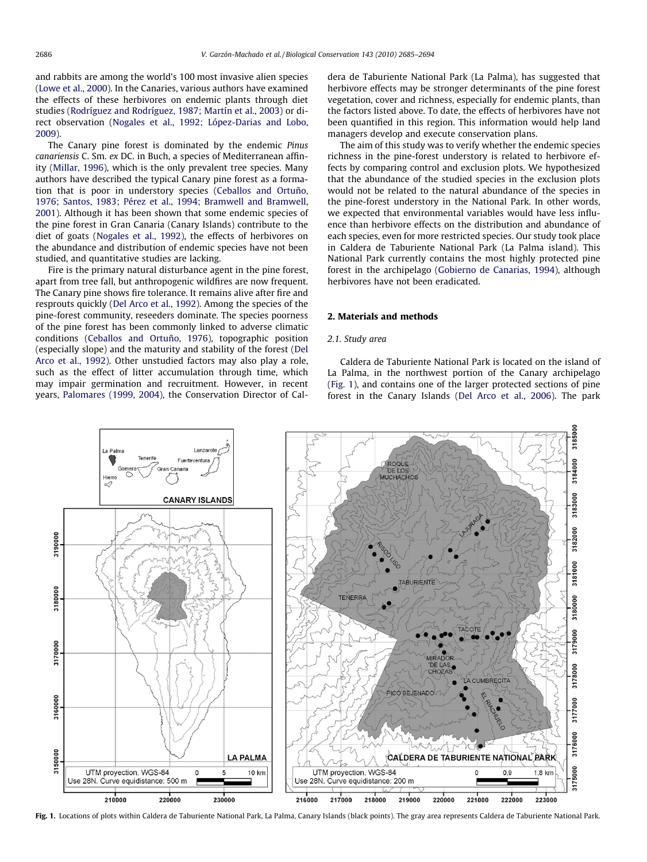<span id="page-1-0"></span>and rabbits are among the world's 100 most invasive alien species ([Lowe et al., 2000\)](#page-8-0). In the Canaries, various authors have examined the effects of these herbivores on endemic plants through diet studies ([Rodríguez and Rodríguez, 1987; Martín et al., 2003\)](#page-8-0) or direct observation ([Nogales et al., 1992; López-Darias and Lobo,](#page-8-0) [2009\)](#page-8-0).

The Canary pine forest is dominated by the endemic Pinus canariensis C. Sm. ex DC. in Buch, a species of Mediterranean affinity ([Millar, 1996](#page-8-0)), which is the only prevalent tree species. Many authors have described the typical Canary pine forest as a formation that is poor in understory species ([Ceballos and Ortuño,](#page-8-0) [1976; Santos, 1983; Pérez et al., 1994; Bramwell and Bramwell,](#page-8-0) [2001\)](#page-8-0). Although it has been shown that some endemic species of the pine forest in Gran Canaria (Canary Islands) contribute to the diet of goats ([Nogales et al., 1992\)](#page-8-0), the effects of herbivores on the abundance and distribution of endemic species have not been studied, and quantitative studies are lacking.

Fire is the primary natural disturbance agent in the pine forest, apart from tree fall, but anthropogenic wildfires are now frequent. The Canary pine shows fire tolerance. It remains alive after fire and resprouts quickly ([Del Arco et al., 1992\)](#page-8-0). Among the species of the pine-forest community, reseeders dominate. The species poorness of the pine forest has been commonly linked to adverse climatic conditions [\(Ceballos and Ortuño, 1976](#page-8-0)), topographic position (especially slope) and the maturity and stability of the forest [\(Del](#page-8-0) [Arco et al., 1992](#page-8-0)). Other unstudied factors may also play a role, such as the effect of litter accumulation through time, which may impair germination and recruitment. However, in recent years, [Palomares \(1999, 2004\),](#page-8-0) the Conservation Director of Caldera de Taburiente National Park (La Palma), has suggested that herbivore effects may be stronger determinants of the pine forest vegetation, cover and richness, especially for endemic plants, than the factors listed above. To date, the effects of herbivores have not been quantified in this region. This information would help land managers develop and execute conservation plans.

The aim of this study was to verify whether the endemic species richness in the pine-forest understory is related to herbivore effects by comparing control and exclusion plots. We hypothesized that the abundance of the studied species in the exclusion plots would not be related to the natural abundance of the species in the pine-forest understory in the National Park. In other words, we expected that environmental variables would have less influence than herbivore effects on the distribution and abundance of each species, even for more restricted species. Our study took place in Caldera de Taburiente National Park (La Palma island). This National Park currently contains the most highly protected pine forest in the archipelago ([Gobierno de Canarias, 1994\)](#page-8-0), although herbivores have not been eradicated.

## 2. Materials and methods

## 2.1. Study area

Caldera de Taburiente National Park is located on the island of La Palma, in the northwest portion of the Canary archipelago (Fig. 1), and contains one of the larger protected sections of pine forest in the Canary Islands [\(Del Arco et al., 2006\)](#page-8-0). The park



Fig. 1. Locations of plots within Caldera de Taburiente National Park, La Palma, Canary Islands (black points). The gray area represents Caldera de Taburiente National Park.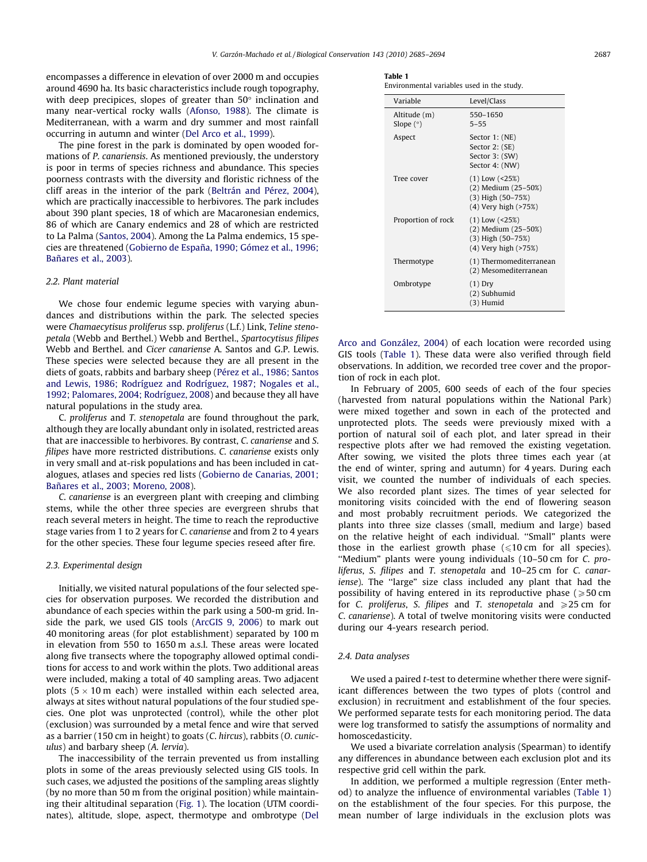encompasses a difference in elevation of over 2000 m and occupies around 4690 ha. Its basic characteristics include rough topography, with deep precipices, slopes of greater than  $50^{\circ}$  inclination and many near-vertical rocky walls ([Afonso, 1988](#page-8-0)). The climate is Mediterranean, with a warm and dry summer and most rainfall occurring in autumn and winter ([Del Arco et al., 1999](#page-8-0)).

The pine forest in the park is dominated by open wooded formations of P. canariensis. As mentioned previously, the understory is poor in terms of species richness and abundance. This species poorness contrasts with the diversity and floristic richness of the cliff areas in the interior of the park ([Beltrán and Pérez, 2004\)](#page-8-0), which are practically inaccessible to herbivores. The park includes about 390 plant species, 18 of which are Macaronesian endemics, 86 of which are Canary endemics and 28 of which are restricted to La Palma [\(Santos, 2004](#page-9-0)). Among the La Palma endemics, 15 species are threatened [\(Gobierno de España, 1990; Gómez et al., 1996;](#page-8-0) [Bañares et al., 2003\)](#page-8-0).

#### 2.2. Plant material

We chose four endemic legume species with varying abundances and distributions within the park. The selected species were Chamaecytisus proliferus ssp. proliferus (L.f.) Link, Teline stenopetala (Webb and Berthel.) Webb and Berthel., Spartocytisus filipes Webb and Berthel. and Cicer canariense A. Santos and G.P. Lewis. These species were selected because they are all present in the diets of goats, rabbits and barbary sheep ([Pérez et al., 1986; Santos](#page-8-0) [and Lewis, 1986; Rodríguez and Rodríguez, 1987; Nogales et al.,](#page-8-0) [1992; Palomares, 2004; Rodríguez, 2008](#page-8-0)) and because they all have natural populations in the study area.

C. proliferus and T. stenopetala are found throughout the park, although they are locally abundant only in isolated, restricted areas that are inaccessible to herbivores. By contrast, C. canariense and S. filipes have more restricted distributions. C. canariense exists only in very small and at-risk populations and has been included in catalogues, atlases and species red lists [\(Gobierno de Canarias, 2001;](#page-8-0) [Bañares et al., 2003; Moreno, 2008](#page-8-0)).

C. canariense is an evergreen plant with creeping and climbing stems, while the other three species are evergreen shrubs that reach several meters in height. The time to reach the reproductive stage varies from 1 to 2 years for C. canariense and from 2 to 4 years for the other species. These four legume species reseed after fire.

#### 2.3. Experimental design

Initially, we visited natural populations of the four selected species for observation purposes. We recorded the distribution and abundance of each species within the park using a 500-m grid. Inside the park, we used GIS tools ([ArcGIS 9, 2006\)](#page-8-0) to mark out 40 monitoring areas (for plot establishment) separated by 100 m in elevation from 550 to 1650 m a.s.l. These areas were located along five transects where the topography allowed optimal conditions for access to and work within the plots. Two additional areas were included, making a total of 40 sampling areas. Two adjacent plots (5  $\times$  10 m each) were installed within each selected area, always at sites without natural populations of the four studied species. One plot was unprotected (control), while the other plot (exclusion) was surrounded by a metal fence and wire that served as a barrier (150 cm in height) to goats (C. hircus), rabbits (O. cuniculus) and barbary sheep (A. lervia).

The inaccessibility of the terrain prevented us from installing plots in some of the areas previously selected using GIS tools. In such cases, we adjusted the positions of the sampling areas slightly (by no more than 50 m from the original position) while maintaining their altitudinal separation [\(Fig. 1\)](#page-1-0). The location (UTM coordinates), altitude, slope, aspect, thermotype and ombrotype ([Del](#page-8-0)

| Table |  |
|-------|--|
|-------|--|

Environmental variables used in the study.

| Variable                    | Level/Class                                                                               |
|-----------------------------|-------------------------------------------------------------------------------------------|
| Altitude (m)<br>Slope $(°)$ | 550-1650<br>$5 - 55$                                                                      |
| Aspect                      | Sector 1: (NE)<br>Sector 2: (SE)<br>Sector 3: (SW)<br>Sector 4: (NW)                      |
| Tree cover                  | $(1)$ Low $(25%)$<br>(2) Medium (25-50%)<br>$(3)$ High $(50-75%)$<br>(4) Very high (>75%) |
| Proportion of rock          | $(1)$ Low $(25%)$<br>(2) Medium (25-50%)<br>$(3)$ High $(50-75%)$<br>(4) Very high (>75%) |
| Thermotype                  | (1) Thermomediterranean<br>(2) Mesomediterranean                                          |
| Ombrotype                   | $(1)$ Dry<br>(2) Subhumid<br>(3) Humid                                                    |

[Arco and González, 2004](#page-8-0)) of each location were recorded using GIS tools (Table 1). These data were also verified through field observations. In addition, we recorded tree cover and the proportion of rock in each plot.

In February of 2005, 600 seeds of each of the four species (harvested from natural populations within the National Park) were mixed together and sown in each of the protected and unprotected plots. The seeds were previously mixed with a portion of natural soil of each plot, and later spread in their respective plots after we had removed the existing vegetation. After sowing, we visited the plots three times each year (at the end of winter, spring and autumn) for 4 years. During each visit, we counted the number of individuals of each species. We also recorded plant sizes. The times of year selected for monitoring visits coincided with the end of flowering season and most probably recruitment periods. We categorized the plants into three size classes (small, medium and large) based on the relative height of each individual. ''Small" plants were those in the earliest growth phase  $(\leq 10 \text{ cm}$  for all species). ''Medium" plants were young individuals (10–50 cm for C. proliferus, S. filipes and T. stenopetala and 10–25 cm for C. canariense). The "large" size class included any plant that had the possibility of having entered in its reproductive phase  $\geq 50$  cm for C. proliferus, S. filipes and T. stenopetala and  $\geq 25$  cm for C. canariense). A total of twelve monitoring visits were conducted during our 4-years research period.

## 2.4. Data analyses

We used a paired *t*-test to determine whether there were significant differences between the two types of plots (control and exclusion) in recruitment and establishment of the four species. We performed separate tests for each monitoring period. The data were log transformed to satisfy the assumptions of normality and homoscedasticity.

We used a bivariate correlation analysis (Spearman) to identify any differences in abundance between each exclusion plot and its respective grid cell within the park.

In addition, we performed a multiple regression (Enter method) to analyze the influence of environmental variables (Table 1) on the establishment of the four species. For this purpose, the mean number of large individuals in the exclusion plots was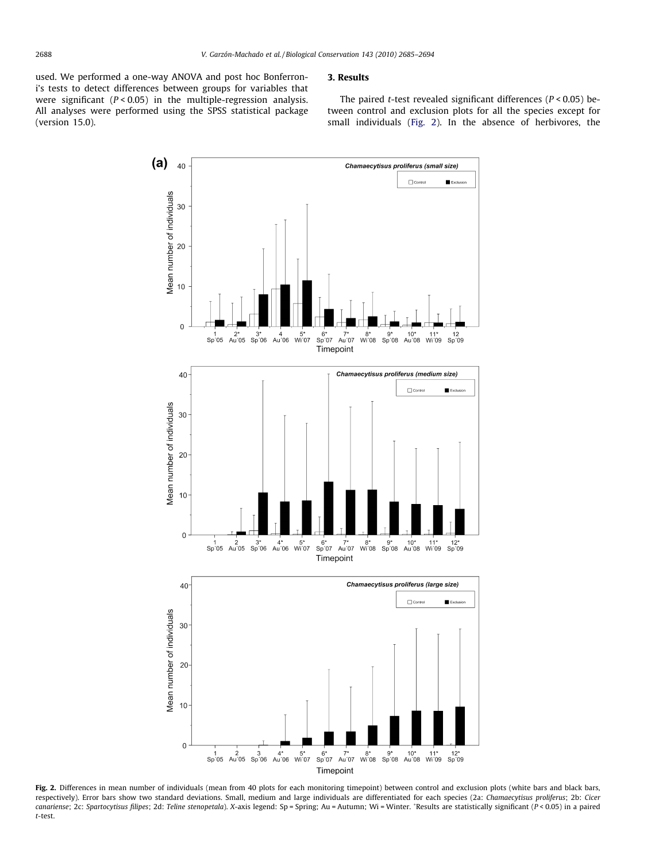<span id="page-3-0"></span>used. We performed a one-way ANOVA and post hoc Bonferroni's tests to detect differences between groups for variables that were significant  $(P < 0.05)$  in the multiple-regression analysis. All analyses were performed using the SPSS statistical package (version 15.0).

## 3. Results

The paired *t*-test revealed significant differences ( $P < 0.05$ ) between control and exclusion plots for all the species except for small individuals (Fig. 2). In the absence of herbivores, the



Fig. 2. Differences in mean number of individuals (mean from 40 plots for each monitoring timepoint) between control and exclusion plots (white bars and black bars, respectively). Error bars show two standard deviations. Small, medium and large individuals are differentiated for each species (2a: Chamaecytisus proliferus; 2b: Cicer canariense; 2c: Spartocytisus filipes; 2d: Teline stenopetala). X-axis legend: Sp = Spring; Au = Autumn; Wi = Winter. \*Results are statistically significant (P < 0.05) in a paired t-test.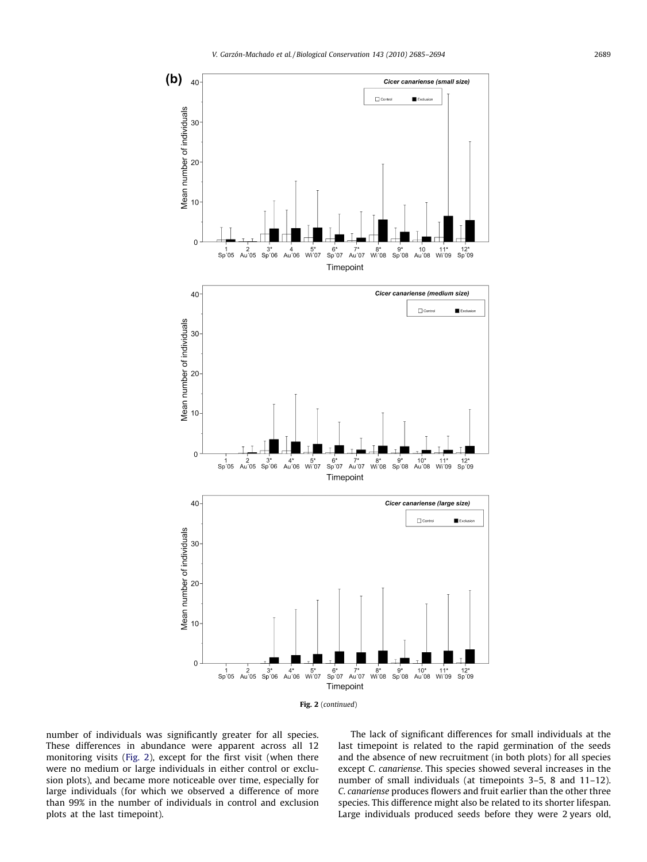

number of individuals was significantly greater for all species. These differences in abundance were apparent across all 12 monitoring visits ([Fig. 2\)](#page-3-0), except for the first visit (when there were no medium or large individuals in either control or exclusion plots), and became more noticeable over time, especially for large individuals (for which we observed a difference of more than 99% in the number of individuals in control and exclusion plots at the last timepoint).

The lack of significant differences for small individuals at the last timepoint is related to the rapid germination of the seeds and the absence of new recruitment (in both plots) for all species except C. canariense. This species showed several increases in the number of small individuals (at timepoints 3–5, 8 and 11–12). C. canariense produces flowers and fruit earlier than the other three species. This difference might also be related to its shorter lifespan. Large individuals produced seeds before they were 2 years old,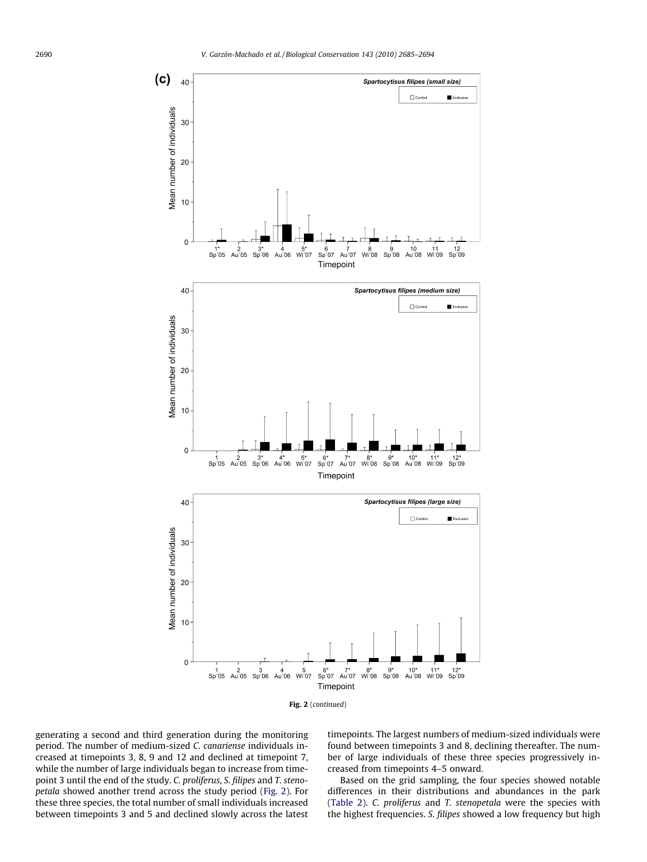



generating a second and third generation during the monitoring period. The number of medium-sized C. canariense individuals increased at timepoints 3, 8, 9 and 12 and declined at timepoint 7, while the number of large individuals began to increase from timepoint 3 until the end of the study. C. proliferus, S. filipes and T. stenopetala showed another trend across the study period ([Fig. 2\)](#page-3-0). For these three species, the total number of small individuals increased between timepoints 3 and 5 and declined slowly across the latest

timepoints. The largest numbers of medium-sized individuals were found between timepoints 3 and 8, declining thereafter. The number of large individuals of these three species progressively increased from timepoints 4–5 onward.

Based on the grid sampling, the four species showed notable differences in their distributions and abundances in the park ([Table 2\)](#page-7-0). C. proliferus and T. stenopetala were the species with the highest frequencies. S. filipes showed a low frequency but high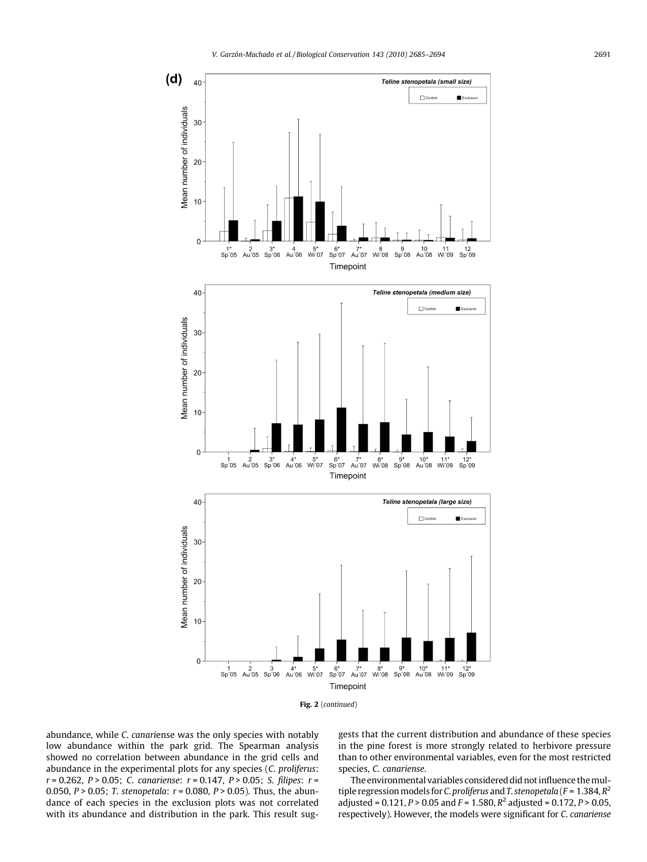



abundance, while C. canariense was the only species with notably low abundance within the park grid. The Spearman analysis showed no correlation between abundance in the grid cells and abundance in the experimental plots for any species (C. proliferus:  $r = 0.262$ ,  $P > 0.05$ ; C. canariense:  $r = 0.147$ ,  $P > 0.05$ ; S. filipes:  $r =$ 0.050,  $P > 0.05$ ; T. stenopetala:  $r = 0.080$ ,  $P > 0.05$ ). Thus, the abundance of each species in the exclusion plots was not correlated with its abundance and distribution in the park. This result suggests that the current distribution and abundance of these species in the pine forest is more strongly related to herbivore pressure than to other environmental variables, even for the most restricted species, C. canariense.

The environmental variables considered did not influence themultiple regression models for C. proliferus and T. stenopetala ( $F = 1.384, R^2$ adjusted = 0.121,  $P > 0.05$  and  $F = 1.580$ ,  $R^2$  adjusted = 0.172,  $P > 0.05$ , respectively). However, the models were significant for C. canariense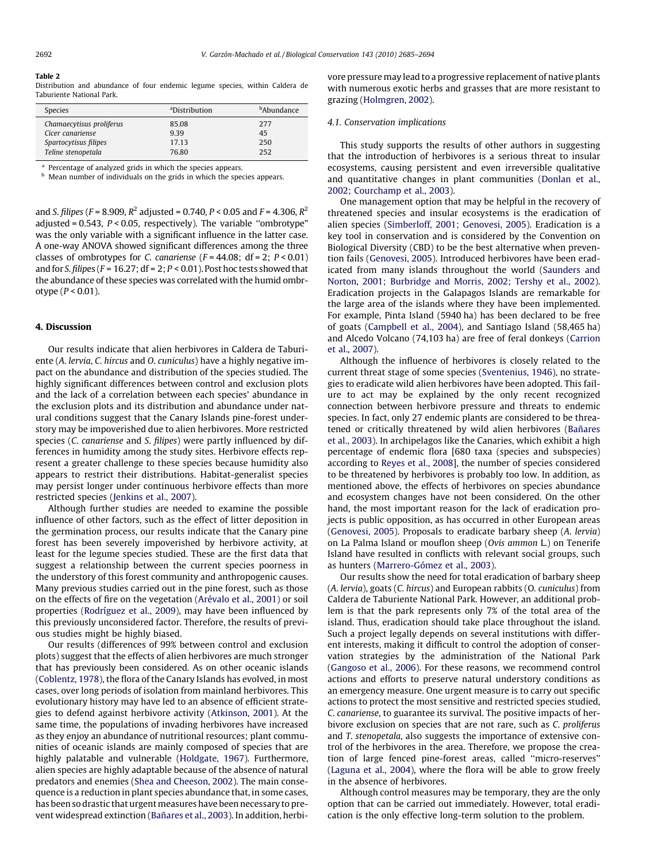#### <span id="page-7-0"></span>Table 2

Distribution and abundance of four endemic legume species, within Caldera de Taburiente National Park.

| <b>Species</b>           | <sup>a</sup> Distribution | <sup>b</sup> Abundance |
|--------------------------|---------------------------|------------------------|
| Chamaecytisus proliferus | 85.08                     | 277                    |
| Cicer canariense         | 9.39                      | 45                     |
| Spartocytisus filipes    | 17.13                     | 250                    |
| Teline stenopetala       | 76.80                     | 252                    |

Percentage of analyzed grids in which the species appears.

**b** Mean number of individuals on the grids in which the species appears.

and S. filipes (F = 8.909,  $R^2$  adjusted = 0.740, P < 0.05 and F = 4.306,  $R^2$ adjusted =  $0.543$ ,  $P < 0.05$ , respectively). The variable "ombrotype" was the only variable with a significant influence in the latter case. A one-way ANOVA showed significant differences among the three classes of ombrotypes for C. canariense  $(F = 44.08; df = 2; P < 0.01)$ and for S. filipes ( $F = 16.27$ ; df = 2;  $P < 0.01$ ). Post hoc tests showed that the abundance of these species was correlated with the humid ombrotype ( $P < 0.01$ ).

#### 4. Discussion

Our results indicate that alien herbivores in Caldera de Taburiente (A. lervia, C. hircus and O. cuniculus) have a highly negative impact on the abundance and distribution of the species studied. The highly significant differences between control and exclusion plots and the lack of a correlation between each species' abundance in the exclusion plots and its distribution and abundance under natural conditions suggest that the Canary Islands pine-forest understory may be impoverished due to alien herbivores. More restricted species (C. canariense and S. filipes) were partly influenced by differences in humidity among the study sites. Herbivore effects represent a greater challenge to these species because humidity also appears to restrict their distributions. Habitat-generalist species may persist longer under continuous herbivore effects than more restricted species [\(Jenkins et al., 2007](#page-8-0)).

Although further studies are needed to examine the possible influence of other factors, such as the effect of litter deposition in the germination process, our results indicate that the Canary pine forest has been severely impoverished by herbivore activity, at least for the legume species studied. These are the first data that suggest a relationship between the current species poorness in the understory of this forest community and anthropogenic causes. Many previous studies carried out in the pine forest, such as those on the effects of fire on the vegetation [\(Arévalo et al., 2001](#page-8-0)) or soil properties ([Rodríguez et al., 2009\)](#page-8-0), may have been influenced by this previously unconsidered factor. Therefore, the results of previous studies might be highly biased.

Our results (differences of 99% between control and exclusion plots) suggest that the effects of alien herbivores are much stronger that has previously been considered. As on other oceanic islands ([Coblentz, 1978](#page-8-0)), the flora of the Canary Islands has evolved, in most cases, over long periods of isolation from mainland herbivores. This evolutionary history may have led to an absence of efficient strategies to defend against herbivore activity [\(Atkinson, 2001\)](#page-8-0). At the same time, the populations of invading herbivores have increased as they enjoy an abundance of nutritional resources; plant communities of oceanic islands are mainly composed of species that are highly palatable and vulnerable ([Holdgate, 1967\)](#page-8-0). Furthermore, alien species are highly adaptable because of the absence of natural predators and enemies ([Shea and Cheeson, 2002\)](#page-9-0). The main consequence is a reduction in plant species abundance that, in some cases, has been so drastic that urgent measures have been necessary to prevent widespread extinction [\(Bañares et al., 2003](#page-8-0)). In addition, herbivore pressure may lead to a progressive replacement of native plants with numerous exotic herbs and grasses that are more resistant to grazing ([Holmgren, 2002](#page-8-0)).

#### 4.1. Conservation implications

This study supports the results of other authors in suggesting that the introduction of herbivores is a serious threat to insular ecosystems, causing persistent and even irreversible qualitative and quantitative changes in plant communities ([Donlan et al.,](#page-8-0) [2002; Courchamp et al., 2003](#page-8-0)).

One management option that may be helpful in the recovery of threatened species and insular ecosystems is the eradication of alien species ([Simberloff, 2001; Genovesi, 2005\)](#page-9-0). Eradication is a key tool in conservation and is considered by the Convention on Biological Diversity (CBD) to be the best alternative when prevention fails [\(Genovesi, 2005](#page-8-0)). Introduced herbivores have been eradicated from many islands throughout the world [\(Saunders and](#page-9-0) [Norton, 2001; Burbridge and Morris, 2002; Tershy et al., 2002\)](#page-9-0). Eradication projects in the Galapagos Islands are remarkable for the large area of the islands where they have been implemented. For example, Pinta Island (5940 ha) has been declared to be free of goats [\(Campbell et al., 2004\)](#page-8-0), and Santiago Island (58,465 ha) and Alcedo Volcano (74,103 ha) are free of feral donkeys ([Carrion](#page-8-0) [et al., 2007\)](#page-8-0).

Although the influence of herbivores is closely related to the current threat stage of some species [\(Sventenius, 1946\)](#page-9-0), no strategies to eradicate wild alien herbivores have been adopted. This failure to act may be explained by the only recent recognized connection between herbivore pressure and threats to endemic species. In fact, only 27 endemic plants are considered to be threatened or critically threatened by wild alien herbivores [\(Bañares](#page-8-0) [et al., 2003\)](#page-8-0). In archipelagos like the Canaries, which exhibit a high percentage of endemic flora [680 taxa (species and subspecies) according to [Reyes et al., 2008](#page-8-0)], the number of species considered to be threatened by herbivores is probably too low. In addition, as mentioned above, the effects of herbivores on species abundance and ecosystem changes have not been considered. On the other hand, the most important reason for the lack of eradication projects is public opposition, as has occurred in other European areas ([Genovesi, 2005](#page-8-0)). Proposals to eradicate barbary sheep (A. lervia) on La Palma Island or mouflon sheep (Ovis ammon L.) on Tenerife Island have resulted in conflicts with relevant social groups, such as hunters [\(Marrero-Gómez et al., 2003](#page-8-0)).

Our results show the need for total eradication of barbary sheep (A. lervia), goats (C. hircus) and European rabbits (O. cuniculus) from Caldera de Taburiente National Park. However, an additional problem is that the park represents only 7% of the total area of the island. Thus, eradication should take place throughout the island. Such a project legally depends on several institutions with different interests, making it difficult to control the adoption of conservation strategies by the administration of the National Park ([Gangoso et al., 2006](#page-8-0)). For these reasons, we recommend control actions and efforts to preserve natural understory conditions as an emergency measure. One urgent measure is to carry out specific actions to protect the most sensitive and restricted species studied, C. canariense, to guarantee its survival. The positive impacts of herbivore exclusion on species that are not rare, such as C. proliferus and T. stenopetala, also suggests the importance of extensive control of the herbivores in the area. Therefore, we propose the creation of large fenced pine-forest areas, called ''micro-reserves'' ([Laguna et al., 2004](#page-8-0)), where the flora will be able to grow freely in the absence of herbivores.

Although control measures may be temporary, they are the only option that can be carried out immediately. However, total eradication is the only effective long-term solution to the problem.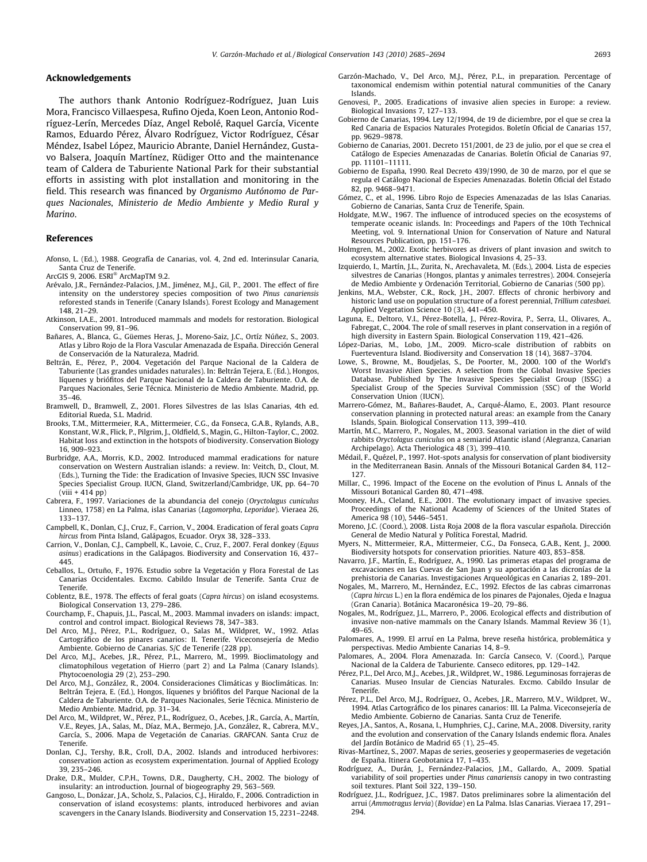## <span id="page-8-0"></span>Acknowledgements

The authors thank Antonio Rodríguez-Rodríguez, Juan Luis Mora, Francisco Villaespesa, Rufino Ojeda, Koen Leon, Antonio Rodríguez-Lerín, Mercedes Díaz, Angel Rebolé, Raquel García, Vicente Ramos, Eduardo Pérez, Álvaro Rodríguez, Victor Rodríguez, César Méndez, Isabel López, Mauricio Abrante, Daniel Hernández, Gustavo Balsera, Joaquín Martínez, Rüdiger Otto and the maintenance team of Caldera de Taburiente National Park for their substantial efforts in assisting with plot installation and monitoring in the field. This research was financed by Organismo Autónomo de Parques Nacionales, Ministerio de Medio Ambiente y Medio Rural y Marino.

#### References

- Afonso, L. (Ed.), 1988. Geografía de Canarias, vol. 4, 2nd ed. Interinsular Canaria, Santa Cruz de Tenerife.
- ArcGIS 9, 2006. ESRI<sup>®</sup> ArcMapTM 9.2.
- Arévalo, J.R., Fernández-Palacios, J.M., Jiménez, M.J., Gil, P., 2001. The effect of fire intensity on the understorey species composition of two Pinus canariensis reforested stands in Tenerife (Canary Islands). Forest Ecology and Management 148, 21–29.
- Atkinson, I.A.E., 2001. Introduced mammals and models for restoration. Biological Conservation 99, 81–96.
- Bañares, A., Blanca, G., Güemes Heras, J., Moreno-Saiz, J.C., Ortíz Núñez, S., 2003. Atlas y Libro Rojo de la Flora Vascular Amenazada de España. Dirección General de Conservación de la Naturaleza, Madrid.
- Beltrán, E., Pérez, P., 2004. Vegetación del Parque Nacional de la Caldera de Taburiente (Las grandes unidades naturales). In: Beltrán Tejera, E. (Ed.), Hongos, líquenes y briófitos del Parque Nacional de la Caldera de Taburiente. O.A. de Parques Nacionales, Serie Técnica. Ministerio de Medio Ambiente. Madrid, pp. 35–46.
- Bramwell, D., Bramwell, Z., 2001. Flores Silvestres de las Islas Canarias, 4th ed. Editorial Rueda, S.L. Madrid.
- Brooks, T.M., Mittermeier, R.A., Mittermeier, C.G., da Fonseca, G.A.B., Rylands, A.B., Konstant, W.R., Flick, P., Pilgrim, J., Oldfield, S., Magin, G., Hilton-Taylor, C., 2002. Habitat loss and extinction in the hotspots of biodiversity. Conservation Biology 16, 909–923.
- Burbridge, A.A., Morris, K.D., 2002. Introduced mammal eradications for nature conservation on Western Australian islands: a review. In: Veitch, D., Clout, M. (Eds.), Turning the Tide: the Eradication of Invasive Species, IUCN SSC Invasive Species Specialist Group. IUCN, Gland, Switzerland/Cambridge, UK, pp. 64–70  $(viii + 414 pp)$
- Cabrera, F., 1997. Variaciones de la abundancia del conejo (Oryctolagus cuniculus Linneo, 1758) en La Palma, islas Canarias (Lagomorpha, Leporidae). Vieraea 26, 133–137.
- Campbell, K., Donlan, C.J., Cruz, F., Carrion, V., 2004. Eradication of feral goats Capra hircus from Pinta Island, Galápagos, Ecuador. Oryx 38, 328–333.
- Carrion, V., Donlan, C.J., Campbell, K., Lavoie, C., Cruz, F., 2007. Feral donkey (Equus asinus) eradications in the Galápagos. Biodiversity and Conservation 16, 437– 445.
- Ceballos, L., Ortuño, F., 1976. Estudio sobre la Vegetación y Flora Forestal de Las Canarias Occidentales. Excmo. Cabildo Insular de Tenerife. Santa Cruz de Tenerife.
- Coblentz, B.E., 1978. The effects of feral goats (Capra hircus) on island ecosystems. Biological Conservation 13, 279–286.
- Courchamp, F., Chapuis, J.L., Pascal, M., 2003. Mammal invaders on islands: impact, control and control impact. Biological Reviews 78, 347–383.
- Del Arco, M.J., Pérez, P.L., Rodríguez, O., Salas M., Wildpret, W., 1992. Atlas Cartográfico de los pinares canarios: II. Tenerife. Viceconsejería de Medio Ambiente. Gobierno de Canarias. S/C de Tenerife (228 pp).
- Del Arco, M.J., Acebes, J.R., Pérez, P.L., Marrero, M., 1999. Bioclimatology and climatophilous vegetation of Hierro (part 2) and La Palma (Canary Islands). Phytocoenologia 29 (2), 253–290.
- Del Arco, M.J., González, R., 2004. Consideraciones Climáticas y Bioclimáticas. In: Beltrán Tejera, E. (Ed.), Hongos, líquenes y briófitos del Parque Nacional de la Caldera de Taburiente. O.A. de Parques Nacionales, Serie Técnica. Ministerio de Medio Ambiente. Madrid, pp. 31–34.
- Del Arco, M., Wildpret, W., Pérez, P.L., Rodríguez, O., Acebes, J.R., García, A., Martín, V.E., Reyes, J.A., Salas, M., Díaz, M.A., Bermejo, J.A., González, R., Cabrera, M.V., García, S., 2006. Mapa de Vegetación de Canarias. GRAFCAN. Santa Cruz de Tenerife.
- Donlan, C.J., Tershy, B.R., Croll, D.A., 2002. Islands and introduced herbivores: conservation action as ecosystem experimentation. Journal of Applied Ecology 39, 235–246.
- Drake, D.R., Mulder, C.P.H., Towns, D.R., Daugherty, C.H., 2002. The biology of insularity: an introduction. Journal of biogeography 29, 563–569.
- Gangoso, L., Donázar, J.A., Scholz, S., Palacios, C.J., Hiraldo, F., 2006. Contradiction in conservation of island ecosystems: plants, introduced herbivores and avian scavengers in the Canary Islands. Biodiversity and Conservation 15, 2231–2248.
- Garzón-Machado, V., Del Arco, M.J., Pérez, P.L., in preparation. Percentage of taxonomical endemism within potential natural communities of the Canary Islands.
- Genovesi, P., 2005. Eradications of invasive alien species in Europe: a review. Biological Invasions 7, 127–133.
- Gobierno de Canarias, 1994. Ley 12/1994, de 19 de diciembre, por el que se crea la Red Canaria de Espacios Naturales Protegidos. Boletín Oficial de Canarias 157, pp. 9629–9878.
- Gobierno de Canarias, 2001. Decreto 151/2001, de 23 de julio, por el que se crea el Catálogo de Especies Amenazadas de Canarias. Boletín Oficial de Canarias 97, pp. 11101–11111.
- Gobierno de España, 1990. Real Decreto 439/1990, de 30 de marzo, por el que se regula el Catálogo Nacional de Especies Amenazadas. Boletín Oficial del Estado 82, pp. 9468–9471.
- Gómez, C., et al., 1996. Libro Rojo de Especies Amenazadas de las Islas Canarias. Gobierno de Canarias, Santa Cruz de Tenerife, Spain.
- Holdgate, M.W., 1967. The influence of introduced species on the ecosystems of temperate oceanic islands. In: Proceedings and Papers of the 10th Technical Meeting, vol. 9. International Union for Conservation of Nature and Natural Resources Publication, pp. 151–176.
- Holmgren, M., 2002. Exotic herbivores as drivers of plant invasion and switch to ecosystem alternative states. Biological Invasions 4, 25–33.
- Izquierdo, I., Martín, J.L., Zurita, N., Arechavaleta, M. (Eds.), 2004. Lista de especies silvestres de Canarias (Hongos, plantas y animales terrestres). 2004. Consejería de Medio Ambiente y Ordenación Territorial, Gobierno de Canarias (500 pp).
- Jenkins, M.A., Webster, C.R., Rock, J.H., 2007. Effects of chronic herbivory and historic land use on population structure of a forest perennial, Trillium catesbaei. Applied Vegetation Science 10 (3), 441–450.
- Laguna, E., Deltoro, V.I., Pérez-Botella, J., Pérez-Rovira, P., Serra, Ll., Olivares, A., Fabregat, C., 2004. The role of small reserves in plant conservation in a región of high diversity in Eastern Spain. Biological Conservation 119, 421–426.
- López-Darias, M., Lobo, J.M., 2009. Micro-scale distribution of rabbits on Fuerteventura Island. Biodiversity and Conservation 18 (14), 3687–3704.
- Lowe, S., Browne, M., Boudjelas, S., De Poorter, M., 2000. 100 of the World's Worst Invasive Alien Species. A selection from the Global Invasive Species Database. Published by The Invasive Species Specialist Group (ISSG) a Specialist Group of the Species Survival Commission (SSC) of the World Conservation Union (IUCN).
- Marrero-Gómez, M., Bañares-Baudet, A., Carqué-Álamo, E., 2003. Plant resource conservation planning in protected natural areas: an example from the Canary Islands, Spain. Biological Conservation 113, 399–410.
- Martín, M.C., Marrero, P., Nogales, M., 2003. Seasonal variation in the diet of wild rabbits Oryctolagus cuniculus on a semiarid Atlantic island (Alegranza, Canarian Archipelago). Acta Theriologica 48 (3), 399–410.
- Médail, F., Quézel, P., 1997. Hot-spots analysis for conservation of plant biodiversity in the Mediterranean Basin. Annals of the Missouri Botanical Garden 84, 112– 127.
- Millar, C., 1996. Impact of the Eocene on the evolution of Pinus L. Annals of the Missouri Botanical Garden 80, 471–498.
- Mooney, H.A., Cleland, E.E., 2001. The evolutionary impact of invasive species. Proceedings of the National Academy of Sciences of the United States of America 98 (10), 5446–5451.
- Moreno, J.C. (Coord.), 2008. Lista Roja 2008 de la flora vascular española. Dirección General de Medio Natural y Política Forestal, Madrid.
- Myers, N., Mittermeier, R.A., Mittermeier, C.G., Da Fonseca, G.A.B., Kent, J., 2000. Biodiversity hotspots for conservation priorities. Nature 403, 853–858.

Navarro, J.F., Martín, E., Rodríguez, A., 1990. Las primeras etapas del programa de excavaciones en las Cuevas de San Juan y su aportación a las dicronías de la prehistoria de Canarias. Investigaciones Arqueológicas en Canarias 2, 189–201.

- Nogales, M., Marrero, M., Hernández, E.C., 1992. Efectos de las cabras cimarronas (Capra hircus L.) en la flora endémica de los pinares de Pajonales, Ojeda e Inagua (Gran Canaria). Botánica Macaronésica 19–20, 79–86.
- Nogales, M., Rodríguez, J.L., Marrero, P., 2006. Ecological effects and distribution of invasive non-native mammals on the Canary Islands. Mammal Review 36 (1), 49–65.
- Palomares, A., 1999. El arruí en La Palma, breve reseña histórica, problemática y perspectivas. Medio Ambiente Canarias 14, 8–9.
- Palomares, A., 2004. Flora Amenazada. In: García Canseco, V. (Coord.), Parque Nacional de la Caldera de Taburiente. Canseco editores, pp. 129–142.
- Pérez, P.L., Del Arco, M.J., Acebes, J.R., Wildpret, W., 1986. Leguminosas forrajeras de Canarias. Museo Insular de Ciencias Naturales. Excmo. Cabildo Insular de Tenerife.
- Pérez, P.L., Del Arco, M.J., Rodríguez, O., Acebes, J.R., Marrero, M.V., Wildpret, W., 1994. Atlas Cartográfico de los pinares canarios: III. La Palma. Viceconsejería de Medio Ambiente. Gobierno de Canarias. Santa Cruz de Tenerife.
- Reyes, J.A., Santos, A., Rosana, I., Humphries, C.J., Carine, M.A., 2008. Diversity, rarity and the evolution and conservation of the Canary Islands endemic flora. Anales del Jardín Botánico de Madrid 65 (1), 25–45.
- Rivas-Martínez, S., 2007. Mapas de series, geoseries y geopermaseries de vegetación de España. Itinera Geobotanica 17, 1–435.
- Rodríguez, A., Durán, J., Fernández-Palacios, J.M., Gallardo, A., 2009. Spatial variability of soil properties under Pinus canariensis canopy in two contrasting soil textures. Plant Soil 322, 139–150.
- Rodríguez, J.L., Rodríguez, J.C., 1987. Datos preliminares sobre la alimentación del arrui (Ammotragus lervia) (Bovidae) en La Palma. Islas Canarias. Vieraea 17, 291– 294.